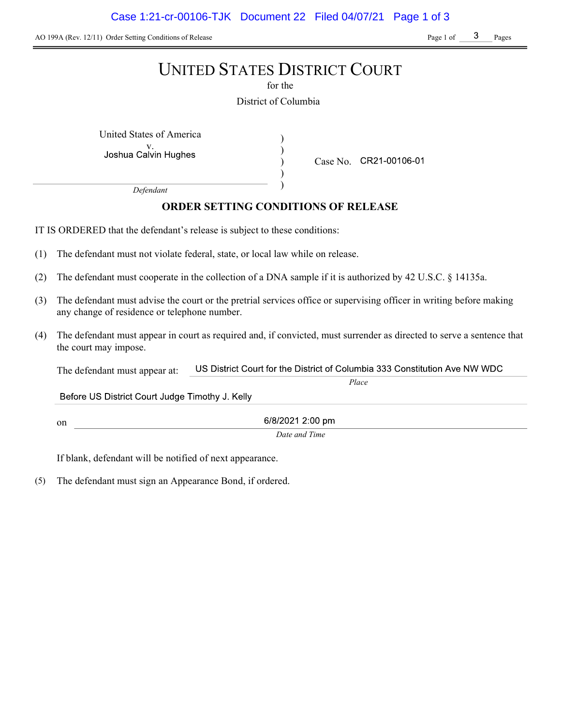AO 199A (Rev. 12/11) Order Setting Conditions of Release Page 1 of Page 1 of Pages

# UNITED STATES DISTRICT COURT

for the

District of Columbia

) ) ) )

United States of America (1992)

Joshua Calvin Hughes

Case No. CR21-00106-01

Place

Defendant

# ORDER SETTING CONDITIONS OF RELEASE

IT IS ORDERED that the defendant's release is subject to these conditions:

- (1) The defendant must not violate federal, state, or local law while on release.
- (2) The defendant must cooperate in the collection of a DNA sample if it is authorized by 42 U.S.C. § 14135a.
- (3) The defendant must advise the court or the pretrial services office or supervising officer in writing before making any change of residence or telephone number.
- (4) The defendant must appear in court as required and, if convicted, must surrender as directed to serve a sentence that the court may impose.

US District Court for the District of Columbia 333 Constitution Ave NW WDC The defendant must appear at:

Before US District Court Judge Timothy J. Kelly

on

6/8/2021 2:00 pm Date and Time

If blank, defendant will be notified of next appearance.

(5) The defendant must sign an Appearance Bond, if ordered.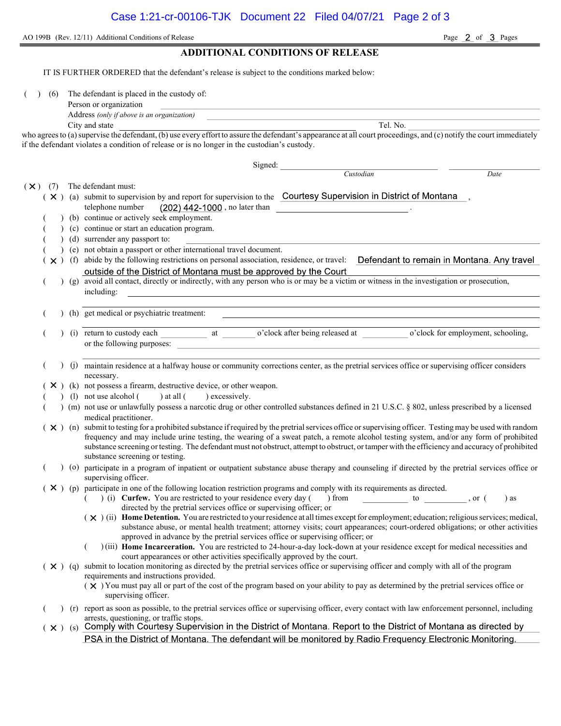AO 199B (Rev. 12/11) Additional Conditions of Release Page 2 of 3 Pages

ADDITIONAL CONDITIONS OF RELEASE IT IS FURTHER ORDERED that the defendant's release is subject to the conditions marked below: (6) The defendant is placed in the custody of: Person or organization Address (only if above is an organization) City and state Tel. No. who agrees to (a) supervise the defendant, (b) use every effort to assure the defendant's appearance at all court proceedings, and (c) notify the court immediately if the defendant violates a condition of release or is no longer in the custodian's custody. Signed: Custodian Date  $(\times)$  (7) The defendant must:  $(X)$  (a) submit to supervision by and report for supervision to the Courtesy Supervision in District of Montana, telephone number  $(202)$  442-1000, no later than (b) continue or actively seek employment. ( ) (c) continue or start an education program. ( ) (d) surrender any passport to: ( ) (e) not obtain a passport or other international travel document.  $(\times)$  (f) abide by the following restrictions on personal association, residence, or travel: Defendant to remain in Montana. Any travel outside of the District of Montana must be approved by the Court ( ) (g) avoid all contact, directly or indirectly, with any person who is or may be a victim or witness in the investigation or prosecution, including: ( ) (h) get medical or psychiatric treatment: (i) return to custody each at o'clock after being released at o'clock for employment, schooling, or the following purposes: ( ) (j) maintain residence at a halfway house or community corrections center, as the pretrial services office or supervising officer considers necessary.  $(X)$  (k) not possess a firearm, destructive device, or other weapon. (1) not use alcohol  $($  ) at all  $($  ) excessively. ( ) (m) not use or unlawfully possess a narcotic drug or other controlled substances defined in 21 U.S.C. § 802, unless prescribed by a licensed medical practitioner.  $(X)$  (n) submit to testing for a prohibited substance if required by the pretrial services office or supervising officer. Testing may be used with random frequency and may include urine testing, the wearing of a sweat patch, a remote alcohol testing system, and/or any form of prohibited substance screening or testing. The defendant must not obstruct, attempt to obstruct, or tamper with the efficiency and accuracy of prohibited substance screening or testing. ( ) (o) participate in a program of inpatient or outpatient substance abuse therapy and counseling if directed by the pretrial services office or supervising officer.  $(X)$  (p) participate in one of the following location restriction programs and comply with its requirements as directed. ( ) (i) Curfew. You are restricted to your residence every day ( ) from  $\qquad \qquad$  to , or ( ) as directed by the pretrial services office or supervising officer; or  $(\times)$  (ii) Home Detention. You are restricted to your residence at all times except for employment; education; religious services; medical, substance abuse, or mental health treatment; attorney visits; court appearances; court-ordered obligations; or other activities approved in advance by the pretrial services office or supervising officer; or ( ) (iii) Home Incarceration. You are restricted to 24-hour-a-day lock-down at your residence except for medical necessities and court appearances or other activities specifically approved by the court.  $(X)$  (q) submit to location monitoring as directed by the pretrial services office or supervising officer and comply with all of the program requirements and instructions provided.  $(\times)$  You must pay all or part of the cost of the program based on your ability to pay as determined by the pretrial services office or supervising officer.

( ) (r) report as soon as possible, to the pretrial services office or supervising officer, every contact with law enforcement personnel, including arrests, questioning, or traffic stops.

 $(x)$  (s) Comply with Courtesy Supervision in the District of Montana. Report to the District of Montana as directed by PSA in the District of Montana. The defendant will be monitored by Radio Frequency Electronic Monitoring.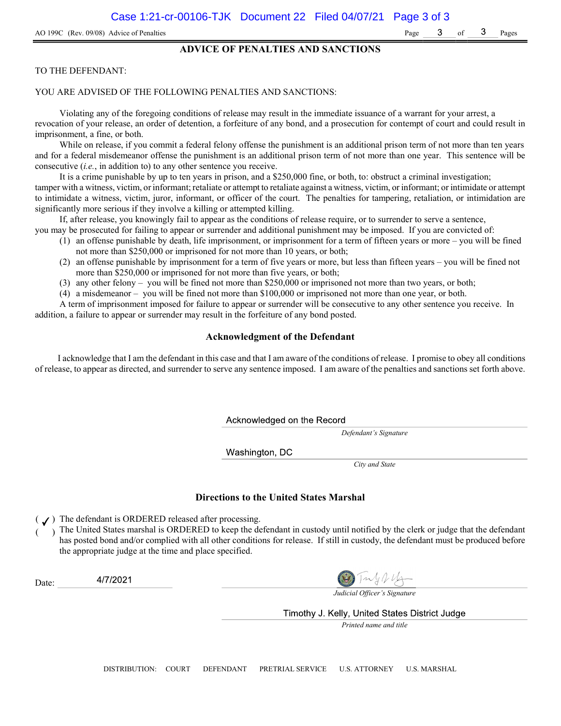### ADVICE OF PENALTIES AND SANCTIONS

### TO THE DEFENDANT:

#### YOU ARE ADVISED OF THE FOLLOWING PENALTIES AND SANCTIONS:

Violating any of the foregoing conditions of release may result in the immediate issuance of a warrant for your arrest, a revocation of your release, an order of detention, a forfeiture of any bond, and a prosecution for contempt of court and could result in imprisonment, a fine, or both.

While on release, if you commit a federal felony offense the punishment is an additional prison term of not more than ten years and for a federal misdemeanor offense the punishment is an additional prison term of not more than one year. This sentence will be consecutive (i.e., in addition to) to any other sentence you receive.

It is a crime punishable by up to ten years in prison, and a \$250,000 fine, or both, to: obstruct a criminal investigation; tamper with a witness, victim, or informant; retaliate or attempt to retaliate against a witness, victim, or informant; or intimidate or attempt to intimidate a witness, victim, juror, informant, or officer of the court. The penalties for tampering, retaliation, or intimidation are significantly more serious if they involve a killing or attempted killing.

If, after release, you knowingly fail to appear as the conditions of release require, or to surrender to serve a sentence,

- you may be prosecuted for failing to appear or surrender and additional punishment may be imposed. If you are convicted of: (1) an offense punishable by death, life imprisonment, or imprisonment for a term of fifteen years or more – you will be fined
	- not more than \$250,000 or imprisoned for not more than 10 years, or both;
	- (2) an offense punishable by imprisonment for a term of five years or more, but less than fifteen years you will be fined not more than \$250,000 or imprisoned for not more than five years, or both;
	- (3) any other felony you will be fined not more than \$250,000 or imprisoned not more than two years, or both;
	- (4) a misdemeanor you will be fined not more than \$100,000 or imprisoned not more than one year, or both.

A term of imprisonment imposed for failure to appear or surrender will be consecutive to any other sentence you receive. In addition, a failure to appear or surrender may result in the forfeiture of any bond posted.

### Acknowledgment of the Defendant

I acknowledge that I am the defendant in this case and that I am aware of the conditions of release. I promise to obey all conditions of release, to appear as directed, and surrender to serve any sentence imposed. I am aware of the penalties and sanctions set forth above.

Acknowledged on the Record

Defendant's Signature

Washington, DC

City and State

#### Directions to the United States Marshal

 $($   $J)$  The defendant is ORDERED released after processing.

) The United States marshal is ORDERED to keep the defendant in custody until notified by the clerk or judge that the defendant has posted bond and/or complied with all other conditions for release. If still in custody, the defendant must be produced before the appropriate judge at the time and place specified.

4/7/2021 Date:

Judicial Officer's Signature

Timothy J. Kelly, United States District Judge

Printed name and title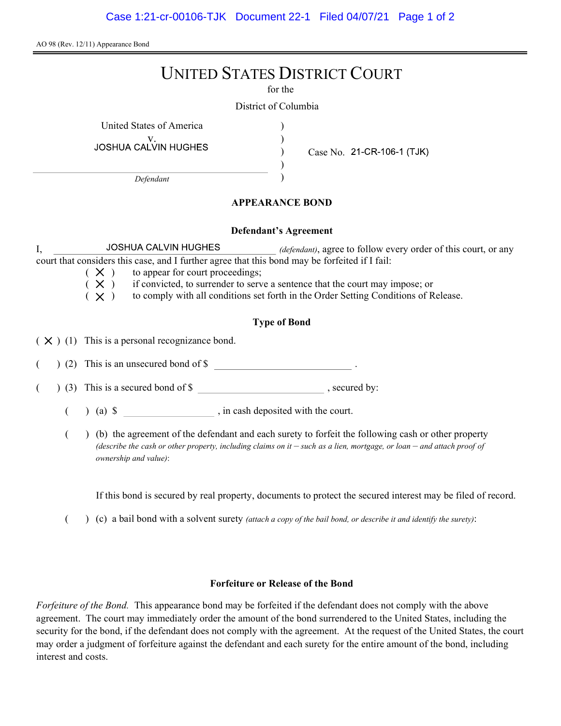Case 1:21-cr-00106-TJK Document 22-1 Filed 04/07/21 Page 1 of 2

AO 98 (Rev. 12/11) Appearance Bond

# UNITED STATES DISTRICT COURT

for the

) ) ) )

District of Columbia

United States of America (1996)

V.<br>JOSHUA CALVIN HUGHES

Defendant

Case No. 21-CR-106-1 (TJK)

## APPEARANCE BOND

### Defendant's Agreement

I, JOSHUA CALVIN HUGHES *(defendant)*, agree to follow every order of this court, or any court that considers this case, and I further agree that this bond may be forfeited if I fail:

- $(X)$  to appear for court proceedings;<br> $(X)$  if convicted, to surrender to serv
- if convicted, to surrender to serve a sentence that the court may impose; or
- $(X)$  to comply with all conditions set forth in the Order Setting Conditions of Release.

# Type of Bond

 $(X)$  (1) This is a personal recognizance bond.

(2) This is an unsecured bond of \$

 $($   $)$  (3) This is a secured bond of \$, secured by:

 $($  ) (a)  $\$  , in cash deposited with the court.

( ) (b) the agreement of the defendant and each surety to forfeit the following cash or other property (describe the cash or other property, including claims on it  $-$  such as a lien, mortgage, or loan  $-$  and attach proof of ownership and value):

If this bond is secured by real property, documents to protect the secured interest may be filed of record.

 $($  )  $(c)$  a bail bond with a solvent surety *(attach a copy of the bail bond, or describe it and identify the surety)*:

### Forfeiture or Release of the Bond

Forfeiture of the Bond. This appearance bond may be forfeited if the defendant does not comply with the above agreement. The court may immediately order the amount of the bond surrendered to the United States, including the security for the bond, if the defendant does not comply with the agreement. At the request of the United States, the court may order a judgment of forfeiture against the defendant and each surety for the entire amount of the bond, including interest and costs.